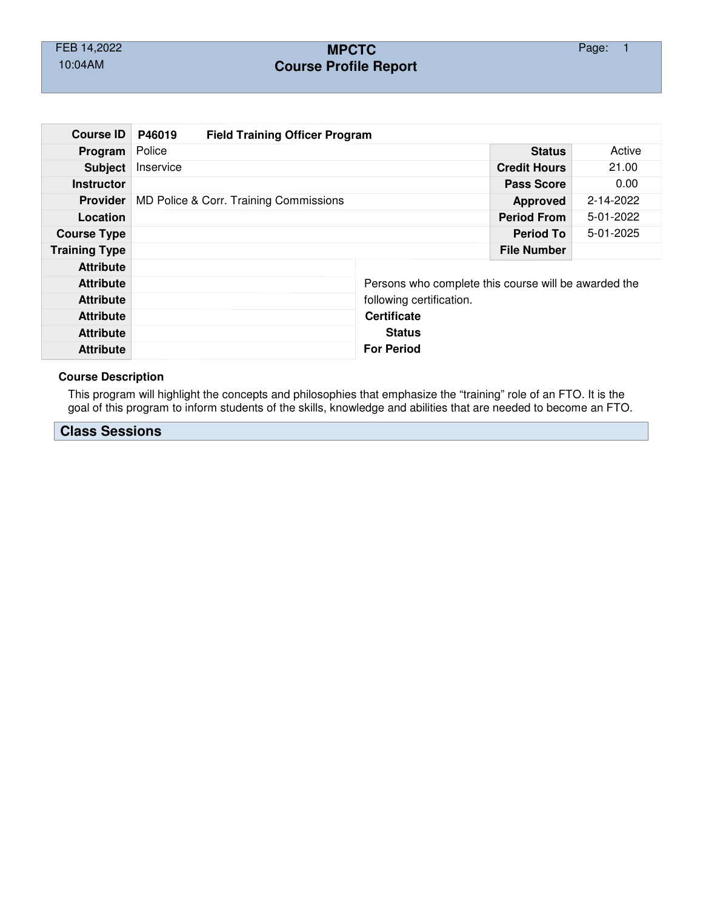## FEB 14,2022 **MPCTC** Page: 1 10:04AM **Course Profile Report**

| <b>Course ID</b>     | <b>Field Training Officer Program</b><br>P46019 |  |                                                      |                     |           |  |
|----------------------|-------------------------------------------------|--|------------------------------------------------------|---------------------|-----------|--|
| Program              | Police                                          |  |                                                      | <b>Status</b>       | Active    |  |
| <b>Subject</b>       | Inservice                                       |  |                                                      | <b>Credit Hours</b> | 21.00     |  |
| <b>Instructor</b>    |                                                 |  |                                                      | <b>Pass Score</b>   | 0.00      |  |
| <b>Provider</b>      | MD Police & Corr. Training Commissions          |  |                                                      | <b>Approved</b>     | 2-14-2022 |  |
| Location             |                                                 |  |                                                      | <b>Period From</b>  | 5-01-2022 |  |
| <b>Course Type</b>   |                                                 |  |                                                      | <b>Period To</b>    | 5-01-2025 |  |
| <b>Training Type</b> |                                                 |  |                                                      | <b>File Number</b>  |           |  |
| <b>Attribute</b>     |                                                 |  |                                                      |                     |           |  |
| <b>Attribute</b>     |                                                 |  | Persons who complete this course will be awarded the |                     |           |  |
| <b>Attribute</b>     |                                                 |  | following certification.                             |                     |           |  |
| <b>Attribute</b>     |                                                 |  | <b>Certificate</b>                                   |                     |           |  |
| <b>Attribute</b>     |                                                 |  | <b>Status</b>                                        |                     |           |  |
| <b>Attribute</b>     |                                                 |  | <b>For Period</b>                                    |                     |           |  |

## **Course Description**

This program will highlight the concepts and philosophies that emphasize the "training" role of an FTO. It is the goal of this program to inform students of the skills, knowledge and abilities that are needed to become an FTO.

**Class Sessions**